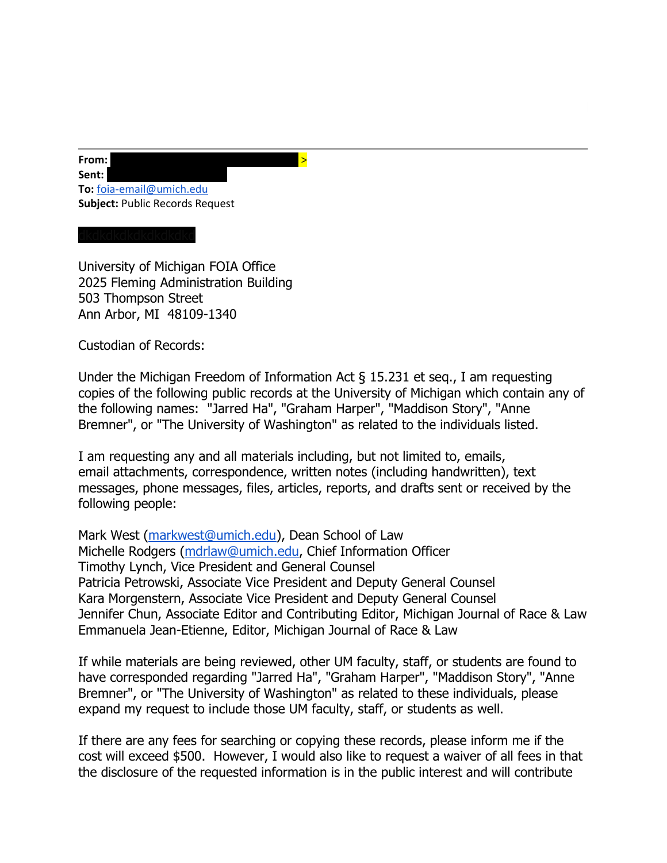**From:** dkdkdkdkdkdkdkdkdkdkkdkdkdkdkdkd > Sent: **To:** [foia-email@umich.edu](mailto:foia-email@umich.edu) **Subject:** Public Records Request

University of Michigan FOIA Office 2025 Fleming Administration Building 503 Thompson Street Ann Arbor, MI 48109-1340

Custodian of Records:

Under the Michigan Freedom of Information Act § 15.231 et seq., I am requesting copies of the following public records at the University of Michigan which contain any of the following names: "Jarred Ha", "Graham Harper", "Maddison Story", "Anne Bremner", or "The University of Washington" as related to the individuals listed.

I am requesting any and all materials including, but not limited to, emails, email attachments, correspondence, written notes (including handwritten), text messages, phone messages, files, articles, reports, and drafts sent or received by the following people:

Mark West [\(markwest@umich.edu\)](mailto:markwest@umich.edu), Dean School of Law Michelle Rodgers [\(mdrlaw@umich.edu,](mailto:mdrlaw@umich.edu) Chief Information Officer Timothy Lynch, Vice President and General Counsel Patricia Petrowski, Associate Vice President and Deputy General Counsel Kara Morgenstern, Associate Vice President and Deputy General Counsel Jennifer Chun, Associate Editor and Contributing Editor, Michigan Journal of Race & Law Emmanuela Jean-Etienne, Editor, Michigan Journal of Race & Law

If while materials are being reviewed, other UM faculty, staff, or students are found to have corresponded regarding "Jarred Ha", "Graham Harper", "Maddison Story", "Anne Bremner", or "The University of Washington" as related to these individuals, please expand my request to include those UM faculty, staff, or students as well.

If there are any fees for searching or copying these records, please inform me if the cost will exceed \$500. However, I would also like to request a waiver of all fees in that the disclosure of the requested information is in the public interest and will contribute